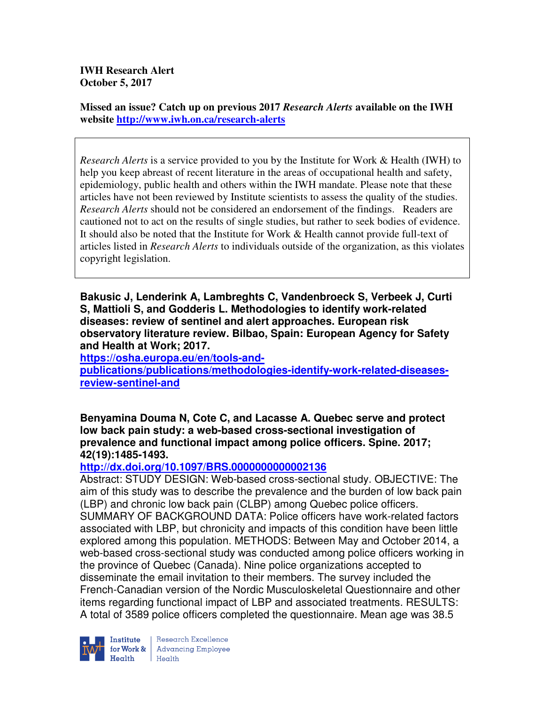**IWH Research Alert October 5, 2017** 

**Missed an issue? Catch up on previous 2017** *Research Alerts* **available on the IWH website http://www.iwh.on.ca/research-alerts**

*Research Alerts* is a service provided to you by the Institute for Work & Health (IWH) to help you keep abreast of recent literature in the areas of occupational health and safety, epidemiology, public health and others within the IWH mandate. Please note that these articles have not been reviewed by Institute scientists to assess the quality of the studies. *Research Alerts* should not be considered an endorsement of the findings. Readers are cautioned not to act on the results of single studies, but rather to seek bodies of evidence. It should also be noted that the Institute for Work & Health cannot provide full-text of articles listed in *Research Alerts* to individuals outside of the organization, as this violates copyright legislation.

**Bakusic J, Lenderink A, Lambreghts C, Vandenbroeck S, Verbeek J, Curti S, Mattioli S, and Godderis L. Methodologies to identify work-related diseases: review of sentinel and alert approaches. European risk observatory literature review. Bilbao, Spain: European Agency for Safety and Health at Work; 2017.** 

**https://osha.europa.eu/en/tools-andpublications/publications/methodologies-identify-work-related-diseasesreview-sentinel-and**

**Benyamina Douma N, Cote C, and Lacasse A. Quebec serve and protect low back pain study: a web-based cross-sectional investigation of prevalence and functional impact among police officers. Spine. 2017; 42(19):1485-1493.** 

# **http://dx.doi.org/10.1097/BRS.0000000000002136**

Abstract: STUDY DESIGN: Web-based cross-sectional study. OBJECTIVE: The aim of this study was to describe the prevalence and the burden of low back pain (LBP) and chronic low back pain (CLBP) among Quebec police officers. SUMMARY OF BACKGROUND DATA: Police officers have work-related factors associated with LBP, but chronicity and impacts of this condition have been little explored among this population. METHODS: Between May and October 2014, a web-based cross-sectional study was conducted among police officers working in the province of Quebec (Canada). Nine police organizations accepted to disseminate the email invitation to their members. The survey included the French-Canadian version of the Nordic Musculoskeletal Questionnaire and other items regarding functional impact of LBP and associated treatments. RESULTS: A total of 3589 police officers completed the questionnaire. Mean age was 38.5



Research Excellence for Work & | Advancing Employee  $H_{\text{each}}$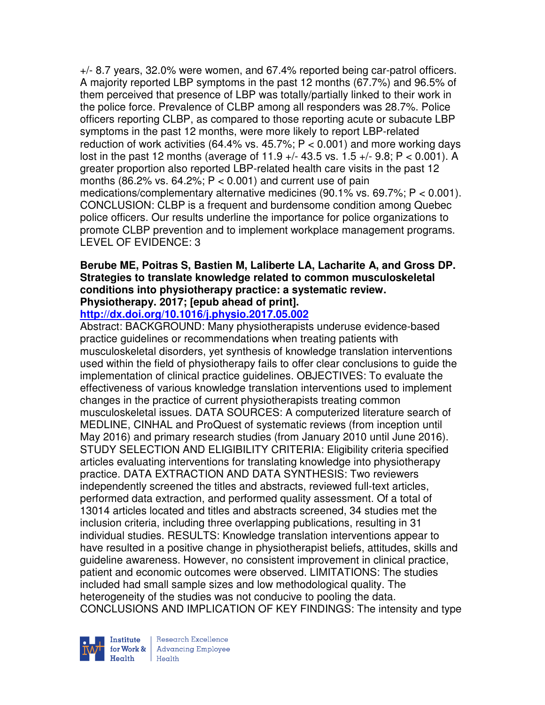+/- 8.7 years, 32.0% were women, and 67.4% reported being car-patrol officers. A majority reported LBP symptoms in the past 12 months (67.7%) and 96.5% of them perceived that presence of LBP was totally/partially linked to their work in the police force. Prevalence of CLBP among all responders was 28.7%. Police officers reporting CLBP, as compared to those reporting acute or subacute LBP symptoms in the past 12 months, were more likely to report LBP-related reduction of work activities (64.4% vs. 45.7%;  $P < 0.001$ ) and more working days lost in the past 12 months (average of 11.9  $+/-$  43.5 vs. 1.5  $+/-$  9.8; P < 0.001). A greater proportion also reported LBP-related health care visits in the past 12 months (86.2% vs. 64.2%;  $P < 0.001$ ) and current use of pain medications/complementary alternative medicines (90.1% vs. 69.7%; P < 0.001). CONCLUSION: CLBP is a frequent and burdensome condition among Quebec police officers. Our results underline the importance for police organizations to promote CLBP prevention and to implement workplace management programs. LEVEL OF EVIDENCE: 3

### **Berube ME, Poitras S, Bastien M, Laliberte LA, Lacharite A, and Gross DP. Strategies to translate knowledge related to common musculoskeletal conditions into physiotherapy practice: a systematic review. Physiotherapy. 2017; [epub ahead of print].**

# **http://dx.doi.org/10.1016/j.physio.2017.05.002**

Abstract: BACKGROUND: Many physiotherapists underuse evidence-based practice guidelines or recommendations when treating patients with musculoskeletal disorders, yet synthesis of knowledge translation interventions used within the field of physiotherapy fails to offer clear conclusions to guide the implementation of clinical practice guidelines. OBJECTIVES: To evaluate the effectiveness of various knowledge translation interventions used to implement changes in the practice of current physiotherapists treating common musculoskeletal issues. DATA SOURCES: A computerized literature search of MEDLINE, CINHAL and ProQuest of systematic reviews (from inception until May 2016) and primary research studies (from January 2010 until June 2016). STUDY SELECTION AND ELIGIBILITY CRITERIA: Eligibility criteria specified articles evaluating interventions for translating knowledge into physiotherapy practice. DATA EXTRACTION AND DATA SYNTHESIS: Two reviewers independently screened the titles and abstracts, reviewed full-text articles, performed data extraction, and performed quality assessment. Of a total of 13014 articles located and titles and abstracts screened, 34 studies met the inclusion criteria, including three overlapping publications, resulting in 31 individual studies. RESULTS: Knowledge translation interventions appear to have resulted in a positive change in physiotherapist beliefs, attitudes, skills and guideline awareness. However, no consistent improvement in clinical practice, patient and economic outcomes were observed. LIMITATIONS: The studies included had small sample sizes and low methodological quality. The heterogeneity of the studies was not conducive to pooling the data. CONCLUSIONS AND IMPLICATION OF KEY FINDINGS: The intensity and type

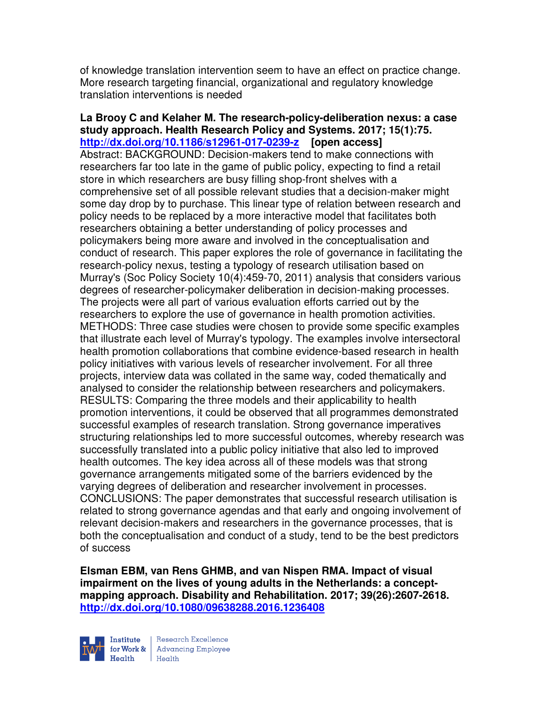of knowledge translation intervention seem to have an effect on practice change. More research targeting financial, organizational and regulatory knowledge translation interventions is needed

#### **La Brooy C and Kelaher M. The research-policy-deliberation nexus: a case study approach. Health Research Policy and Systems. 2017; 15(1):75. http://dx.doi.org/10.1186/s12961-017-0239-z [open access]**

Abstract: BACKGROUND: Decision-makers tend to make connections with researchers far too late in the game of public policy, expecting to find a retail store in which researchers are busy filling shop-front shelves with a comprehensive set of all possible relevant studies that a decision-maker might some day drop by to purchase. This linear type of relation between research and policy needs to be replaced by a more interactive model that facilitates both researchers obtaining a better understanding of policy processes and policymakers being more aware and involved in the conceptualisation and conduct of research. This paper explores the role of governance in facilitating the research-policy nexus, testing a typology of research utilisation based on Murray's (Soc Policy Society 10(4):459-70, 2011) analysis that considers various degrees of researcher-policymaker deliberation in decision-making processes. The projects were all part of various evaluation efforts carried out by the researchers to explore the use of governance in health promotion activities. METHODS: Three case studies were chosen to provide some specific examples that illustrate each level of Murray's typology. The examples involve intersectoral health promotion collaborations that combine evidence-based research in health policy initiatives with various levels of researcher involvement. For all three projects, interview data was collated in the same way, coded thematically and analysed to consider the relationship between researchers and policymakers. RESULTS: Comparing the three models and their applicability to health promotion interventions, it could be observed that all programmes demonstrated successful examples of research translation. Strong governance imperatives structuring relationships led to more successful outcomes, whereby research was successfully translated into a public policy initiative that also led to improved health outcomes. The key idea across all of these models was that strong governance arrangements mitigated some of the barriers evidenced by the varying degrees of deliberation and researcher involvement in processes. CONCLUSIONS: The paper demonstrates that successful research utilisation is related to strong governance agendas and that early and ongoing involvement of relevant decision-makers and researchers in the governance processes, that is both the conceptualisation and conduct of a study, tend to be the best predictors of success

**Elsman EBM, van Rens GHMB, and van Nispen RMA. Impact of visual impairment on the lives of young adults in the Netherlands: a conceptmapping approach. Disability and Rehabilitation. 2017; 39(26):2607-2618. http://dx.doi.org/10.1080/09638288.2016.1236408** 



Research Excellence for Work & Advancing Employee<br>Health Health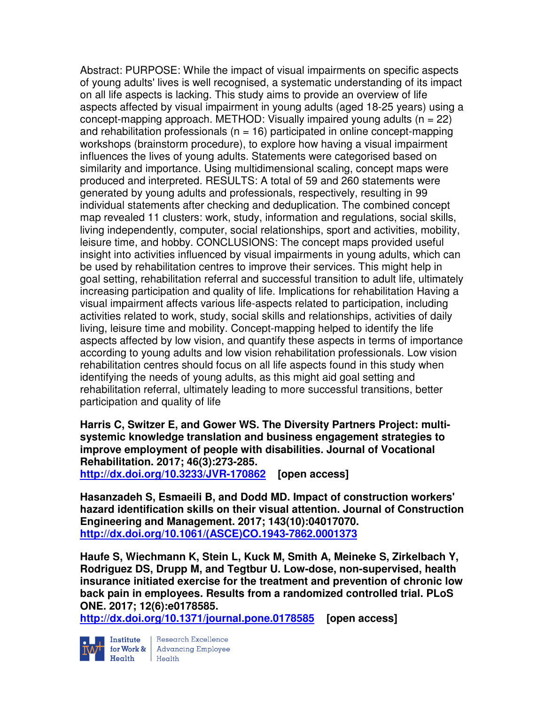Abstract: PURPOSE: While the impact of visual impairments on specific aspects of young adults' lives is well recognised, a systematic understanding of its impact on all life aspects is lacking. This study aims to provide an overview of life aspects affected by visual impairment in young adults (aged 18-25 years) using a concept-mapping approach. METHOD: Visually impaired young adults  $(n = 22)$ and rehabilitation professionals ( $n = 16$ ) participated in online concept-mapping workshops (brainstorm procedure), to explore how having a visual impairment influences the lives of young adults. Statements were categorised based on similarity and importance. Using multidimensional scaling, concept maps were produced and interpreted. RESULTS: A total of 59 and 260 statements were generated by young adults and professionals, respectively, resulting in 99 individual statements after checking and deduplication. The combined concept map revealed 11 clusters: work, study, information and regulations, social skills, living independently, computer, social relationships, sport and activities, mobility, leisure time, and hobby. CONCLUSIONS: The concept maps provided useful insight into activities influenced by visual impairments in young adults, which can be used by rehabilitation centres to improve their services. This might help in goal setting, rehabilitation referral and successful transition to adult life, ultimately increasing participation and quality of life. Implications for rehabilitation Having a visual impairment affects various life-aspects related to participation, including activities related to work, study, social skills and relationships, activities of daily living, leisure time and mobility. Concept-mapping helped to identify the life aspects affected by low vision, and quantify these aspects in terms of importance according to young adults and low vision rehabilitation professionals. Low vision rehabilitation centres should focus on all life aspects found in this study when identifying the needs of young adults, as this might aid goal setting and rehabilitation referral, ultimately leading to more successful transitions, better participation and quality of life

**Harris C, Switzer E, and Gower WS. The Diversity Partners Project: multisystemic knowledge translation and business engagement strategies to improve employment of people with disabilities. Journal of Vocational Rehabilitation. 2017; 46(3):273-285.** 

**http://dx.doi.org/10.3233/JVR-170862 [open access]** 

**Hasanzadeh S, Esmaeili B, and Dodd MD. Impact of construction workers' hazard identification skills on their visual attention. Journal of Construction Engineering and Management. 2017; 143(10):04017070. http://dx.doi.org/10.1061/(ASCE)CO.1943-7862.0001373** 

**Haufe S, Wiechmann K, Stein L, Kuck M, Smith A, Meineke S, Zirkelbach Y, Rodriguez DS, Drupp M, and Tegtbur U. Low-dose, non-supervised, health insurance initiated exercise for the treatment and prevention of chronic low back pain in employees. Results from a randomized controlled trial. PLoS ONE. 2017; 12(6):e0178585.** 

**http://dx.doi.org/10.1371/journal.pone.0178585 [open access]**



Research Excellence **Advancing Employee**  $H_{\text{each}}$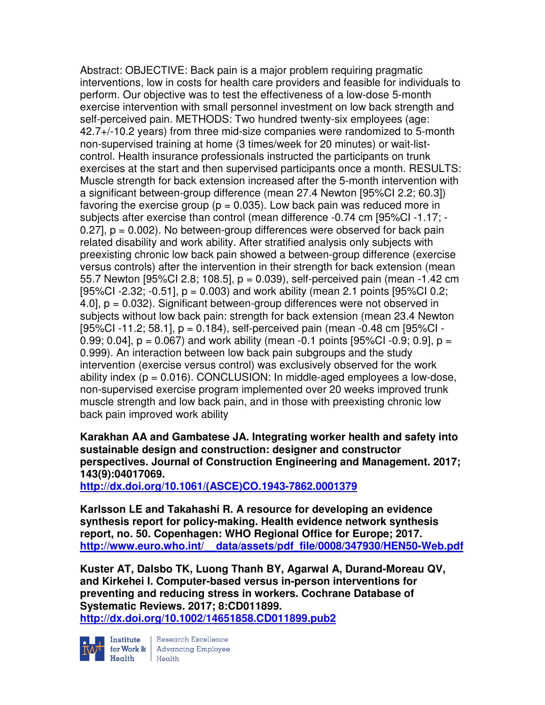Abstract: OBJECTIVE: Back pain is a major problem requiring pragmatic interventions, low in costs for health care providers and feasible for individuals to perform. Our objective was to test the effectiveness of a low-dose 5-month exercise intervention with small personnel investment on low back strength and self-perceived pain. METHODS: Two hundred twenty-six employees (age: 42.7+/-10.2 years) from three mid-size companies were randomized to 5-month non-supervised training at home (3 times/week for 20 minutes) or wait-listcontrol. Health insurance professionals instructed the participants on trunk exercises at the start and then supervised participants once a month. RESULTS: Muscle strength for back extension increased after the 5-month intervention with a significant between-group difference (mean 27.4 Newton [95%CI 2.2; 60.3]) favoring the exercise group ( $p = 0.035$ ). Low back pain was reduced more in subjects after exercise than control (mean difference -0.74 cm [95%CI -1.17; -  $0.27$ ],  $p = 0.002$ ). No between-group differences were observed for back pain related disability and work ability. After stratified analysis only subjects with preexisting chronic low back pain showed a between-group difference (exercise versus controls) after the intervention in their strength for back extension (mean 55.7 Newton [95%CI 2.8; 108.5], p = 0.039), self-perceived pain (mean -1.42 cm [95%CI -2.32; -0.51],  $p = 0.003$ ) and work ability (mean 2.1 points [95%CI 0.2; 4.0], p = 0.032). Significant between-group differences were not observed in subjects without low back pain: strength for back extension (mean 23.4 Newton [95%CI -11.2; 58.1], p = 0.184), self-perceived pain (mean -0.48 cm [95%CI - 0.99; 0.04],  $p = 0.067$  and work ability (mean -0.1 points [95%Cl -0.9; 0.9],  $p =$ 0.999). An interaction between low back pain subgroups and the study intervention (exercise versus control) was exclusively observed for the work ability index  $(p = 0.016)$ . CONCLUSION: In middle-aged employees a low-dose, non-supervised exercise program implemented over 20 weeks improved trunk muscle strength and low back pain, and in those with preexisting chronic low back pain improved work ability

**Karakhan AA and Gambatese JA. Integrating worker health and safety into sustainable design and construction: designer and constructor perspectives. Journal of Construction Engineering and Management. 2017; 143(9):04017069.** 

**http://dx.doi.org/10.1061/(ASCE)CO.1943-7862.0001379** 

**Karlsson LE and Takahashi R. A resource for developing an evidence synthesis report for policy-making. Health evidence network synthesis report, no. 50. Copenhagen: WHO Regional Office for Europe; 2017. http://www.euro.who.int/\_\_data/assets/pdf\_file/0008/347930/HEN50-Web.pdf**

**Kuster AT, Dalsbo TK, Luong Thanh BY, Agarwal A, Durand-Moreau QV, and Kirkehei I. Computer-based versus in-person interventions for preventing and reducing stress in workers. Cochrane Database of Systematic Reviews. 2017; 8:CD011899. http://dx.doi.org/10.1002/14651858.CD011899.pub2** 



Institute Research Excellence<br>for Work & Advancing Employee  $H$ ealth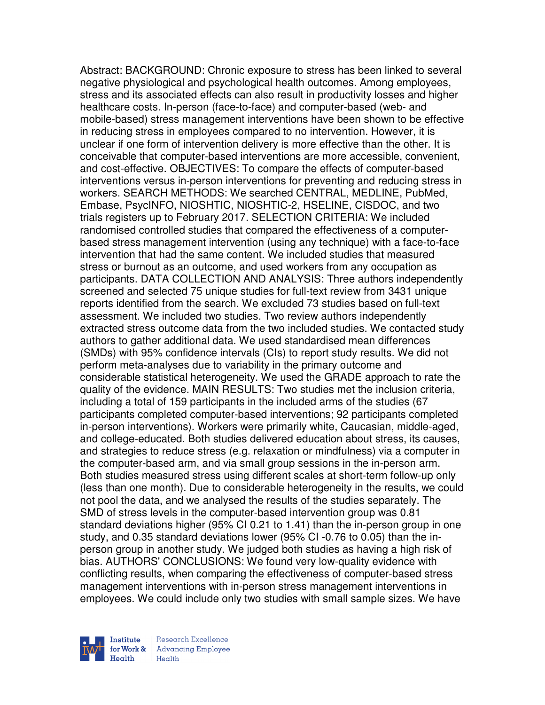Abstract: BACKGROUND: Chronic exposure to stress has been linked to several negative physiological and psychological health outcomes. Among employees, stress and its associated effects can also result in productivity losses and higher healthcare costs. In-person (face-to-face) and computer-based (web- and mobile-based) stress management interventions have been shown to be effective in reducing stress in employees compared to no intervention. However, it is unclear if one form of intervention delivery is more effective than the other. It is conceivable that computer-based interventions are more accessible, convenient, and cost-effective. OBJECTIVES: To compare the effects of computer-based interventions versus in-person interventions for preventing and reducing stress in workers. SEARCH METHODS: We searched CENTRAL, MEDLINE, PubMed, Embase, PsycINFO, NIOSHTIC, NIOSHTIC-2, HSELINE, CISDOC, and two trials registers up to February 2017. SELECTION CRITERIA: We included randomised controlled studies that compared the effectiveness of a computerbased stress management intervention (using any technique) with a face-to-face intervention that had the same content. We included studies that measured stress or burnout as an outcome, and used workers from any occupation as participants. DATA COLLECTION AND ANALYSIS: Three authors independently screened and selected 75 unique studies for full-text review from 3431 unique reports identified from the search. We excluded 73 studies based on full-text assessment. We included two studies. Two review authors independently extracted stress outcome data from the two included studies. We contacted study authors to gather additional data. We used standardised mean differences (SMDs) with 95% confidence intervals (CIs) to report study results. We did not perform meta-analyses due to variability in the primary outcome and considerable statistical heterogeneity. We used the GRADE approach to rate the quality of the evidence. MAIN RESULTS: Two studies met the inclusion criteria, including a total of 159 participants in the included arms of the studies (67 participants completed computer-based interventions; 92 participants completed in-person interventions). Workers were primarily white, Caucasian, middle-aged, and college-educated. Both studies delivered education about stress, its causes, and strategies to reduce stress (e.g. relaxation or mindfulness) via a computer in the computer-based arm, and via small group sessions in the in-person arm. Both studies measured stress using different scales at short-term follow-up only (less than one month). Due to considerable heterogeneity in the results, we could not pool the data, and we analysed the results of the studies separately. The SMD of stress levels in the computer-based intervention group was 0.81 standard deviations higher (95% CI 0.21 to 1.41) than the in-person group in one study, and 0.35 standard deviations lower (95% CI -0.76 to 0.05) than the inperson group in another study. We judged both studies as having a high risk of bias. AUTHORS' CONCLUSIONS: We found very low-quality evidence with conflicting results, when comparing the effectiveness of computer-based stress management interventions with in-person stress management interventions in employees. We could include only two studies with small sample sizes. We have

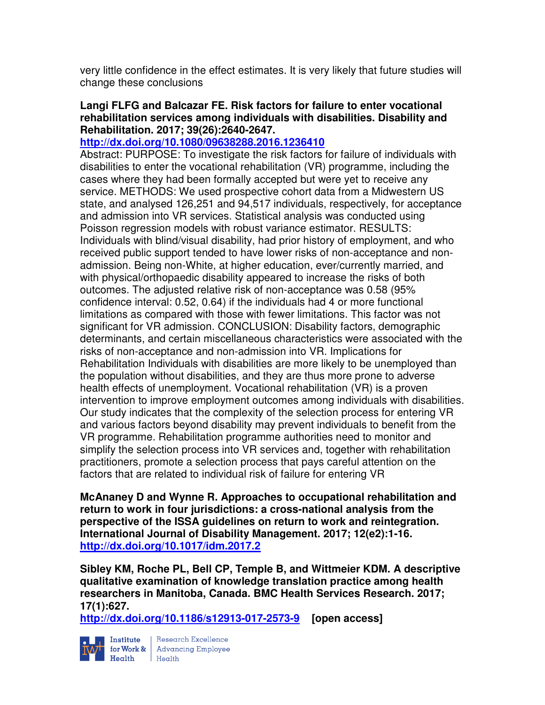very little confidence in the effect estimates. It is very likely that future studies will change these conclusions

#### **Langi FLFG and Balcazar FE. Risk factors for failure to enter vocational rehabilitation services among individuals with disabilities. Disability and Rehabilitation. 2017; 39(26):2640-2647.**

### **http://dx.doi.org/10.1080/09638288.2016.1236410**

Abstract: PURPOSE: To investigate the risk factors for failure of individuals with disabilities to enter the vocational rehabilitation (VR) programme, including the cases where they had been formally accepted but were yet to receive any service. METHODS: We used prospective cohort data from a Midwestern US state, and analysed 126,251 and 94,517 individuals, respectively, for acceptance and admission into VR services. Statistical analysis was conducted using Poisson regression models with robust variance estimator. RESULTS: Individuals with blind/visual disability, had prior history of employment, and who received public support tended to have lower risks of non-acceptance and nonadmission. Being non-White, at higher education, ever/currently married, and with physical/orthopaedic disability appeared to increase the risks of both outcomes. The adjusted relative risk of non-acceptance was 0.58 (95% confidence interval: 0.52, 0.64) if the individuals had 4 or more functional limitations as compared with those with fewer limitations. This factor was not significant for VR admission. CONCLUSION: Disability factors, demographic determinants, and certain miscellaneous characteristics were associated with the risks of non-acceptance and non-admission into VR. Implications for Rehabilitation Individuals with disabilities are more likely to be unemployed than the population without disabilities, and they are thus more prone to adverse health effects of unemployment. Vocational rehabilitation (VR) is a proven intervention to improve employment outcomes among individuals with disabilities. Our study indicates that the complexity of the selection process for entering VR and various factors beyond disability may prevent individuals to benefit from the VR programme. Rehabilitation programme authorities need to monitor and simplify the selection process into VR services and, together with rehabilitation practitioners, promote a selection process that pays careful attention on the factors that are related to individual risk of failure for entering VR

**McAnaney D and Wynne R. Approaches to occupational rehabilitation and return to work in four jurisdictions: a cross-national analysis from the perspective of the ISSA guidelines on return to work and reintegration. International Journal of Disability Management. 2017; 12(e2):1-16. http://dx.doi.org/10.1017/idm.2017.2** 

**Sibley KM, Roche PL, Bell CP, Temple B, and Wittmeier KDM. A descriptive qualitative examination of knowledge translation practice among health researchers in Manitoba, Canada. BMC Health Services Research. 2017; 17(1):627.** 

**http://dx.doi.org/10.1186/s12913-017-2573-9 [open access]**



**Institute** Research Excellence<br> **for Work &** Advancing Employee<br> **Health** Health  $Heath$  Health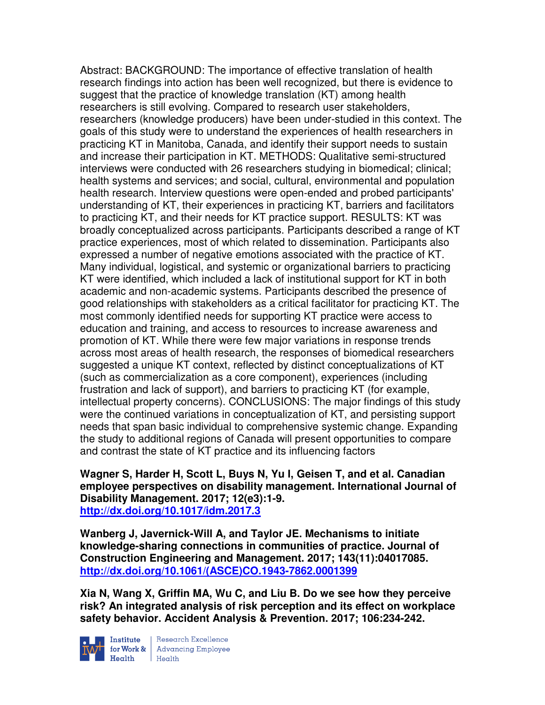Abstract: BACKGROUND: The importance of effective translation of health research findings into action has been well recognized, but there is evidence to suggest that the practice of knowledge translation (KT) among health researchers is still evolving. Compared to research user stakeholders, researchers (knowledge producers) have been under-studied in this context. The goals of this study were to understand the experiences of health researchers in practicing KT in Manitoba, Canada, and identify their support needs to sustain and increase their participation in KT. METHODS: Qualitative semi-structured interviews were conducted with 26 researchers studying in biomedical; clinical; health systems and services; and social, cultural, environmental and population health research. Interview questions were open-ended and probed participants' understanding of KT, their experiences in practicing KT, barriers and facilitators to practicing KT, and their needs for KT practice support. RESULTS: KT was broadly conceptualized across participants. Participants described a range of KT practice experiences, most of which related to dissemination. Participants also expressed a number of negative emotions associated with the practice of KT. Many individual, logistical, and systemic or organizational barriers to practicing KT were identified, which included a lack of institutional support for KT in both academic and non-academic systems. Participants described the presence of good relationships with stakeholders as a critical facilitator for practicing KT. The most commonly identified needs for supporting KT practice were access to education and training, and access to resources to increase awareness and promotion of KT. While there were few major variations in response trends across most areas of health research, the responses of biomedical researchers suggested a unique KT context, reflected by distinct conceptualizations of KT (such as commercialization as a core component), experiences (including frustration and lack of support), and barriers to practicing KT (for example, intellectual property concerns). CONCLUSIONS: The major findings of this study were the continued variations in conceptualization of KT, and persisting support needs that span basic individual to comprehensive systemic change. Expanding the study to additional regions of Canada will present opportunities to compare and contrast the state of KT practice and its influencing factors

**Wagner S, Harder H, Scott L, Buys N, Yu I, Geisen T, and et al. Canadian employee perspectives on disability management. International Journal of Disability Management. 2017; 12(e3):1-9. http://dx.doi.org/10.1017/idm.2017.3** 

**Wanberg J, Javernick-Will A, and Taylor JE. Mechanisms to initiate knowledge-sharing connections in communities of practice. Journal of Construction Engineering and Management. 2017; 143(11):04017085. http://dx.doi.org/10.1061/(ASCE)CO.1943-7862.0001399** 

**Xia N, Wang X, Griffin MA, Wu C, and Liu B. Do we see how they perceive risk? An integrated analysis of risk perception and its effect on workplace safety behavior. Accident Analysis & Prevention. 2017; 106:234-242.**